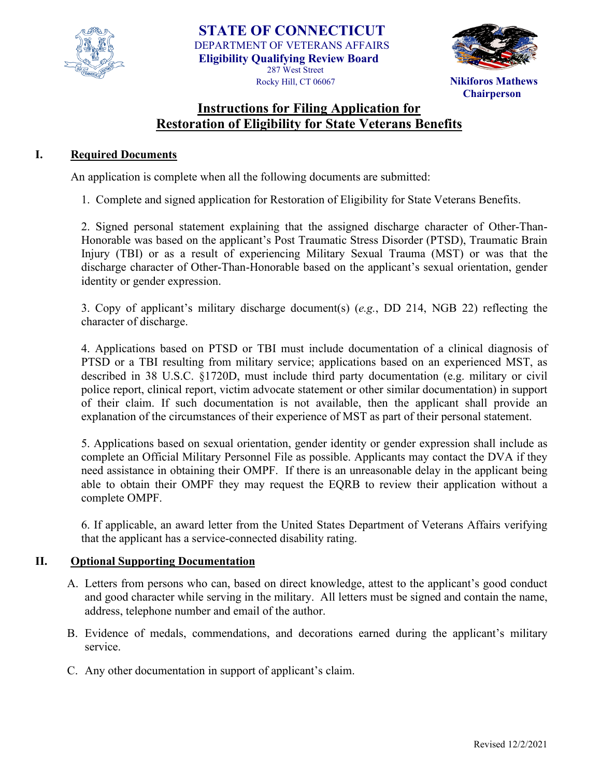



 **Chairperson**

# **Instructions for Filing Application for Restoration of Eligibility for State Veterans Benefits**

#### **I. Required Documents**

An application is complete when all the following documents are submitted:

1. Complete and signed application for Restoration of Eligibility for State Veterans Benefits.

2. Signed personal statement explaining that the assigned discharge character of Other-Than-Honorable was based on the applicant's Post Traumatic Stress Disorder (PTSD), Traumatic Brain Injury (TBI) or as a result of experiencing Military Sexual Trauma (MST) or was that the discharge character of Other-Than-Honorable based on the applicant's sexual orientation, gender identity or gender expression.

3. Copy of applicant's military discharge document(s) (*e.g.*, DD 214, NGB 22) reflecting the character of discharge.

4. Applications based on PTSD or TBI must include documentation of a clinical diagnosis of PTSD or a TBI resulting from military service; applications based on an experienced MST, as described in 38 U.S.C. §1720D, must include third party documentation (e.g. military or civil police report, clinical report, victim advocate statement or other similar documentation) in support of their claim. If such documentation is not available, then the applicant shall provide an explanation of the circumstances of their experience of MST as part of their personal statement.

5. Applications based on sexual orientation, gender identity or gender expression shall include as complete an Official Military Personnel File as possible. Applicants may contact the DVA if they need assistance in obtaining their OMPF. If there is an unreasonable delay in the applicant being able to obtain their OMPF they may request the EQRB to review their application without a complete OMPF.

6. If applicable, an award letter from the United States Department of Veterans Affairs verifying that the applicant has a service-connected disability rating.

#### **II. Optional Supporting Documentation**

- A. Letters from persons who can, based on direct knowledge, attest to the applicant's good conduct and good character while serving in the military. All letters must be signed and contain the name, address, telephone number and email of the author.
- B. Evidence of medals, commendations, and decorations earned during the applicant's military service.
- C. Any other documentation in support of applicant's claim.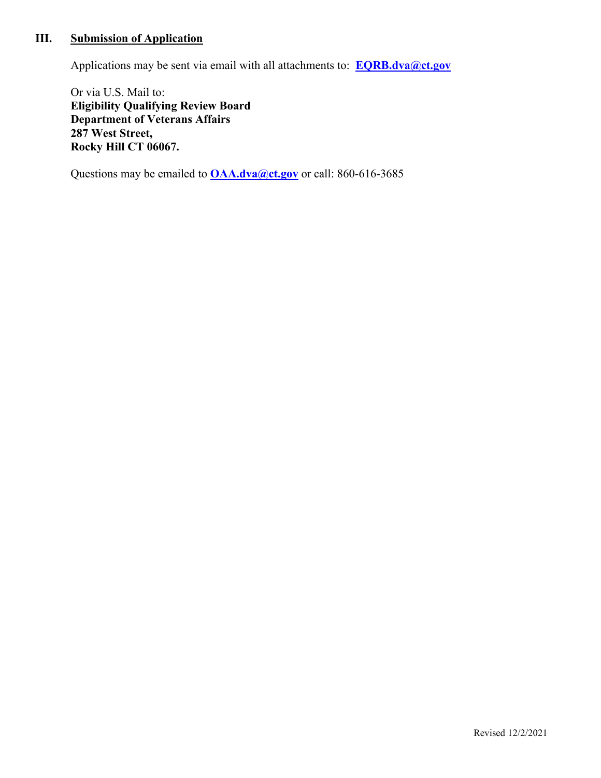# **III. Submission of Application**

Applications may be sent via email with all attachments to: **[EQRB.dva@ct.gov](mailto:EQRB.dva@ct.gov)**

Or via U.S. Mail to: **Eligibility Qualifying Review Board Department of Veterans Affairs 287 West Street, Rocky Hill CT 06067.** 

Questions may be emailed to **[OAA.dva@ct.gov](mailto:OAA.dva@ct.gov)** or call: 860-616-3685